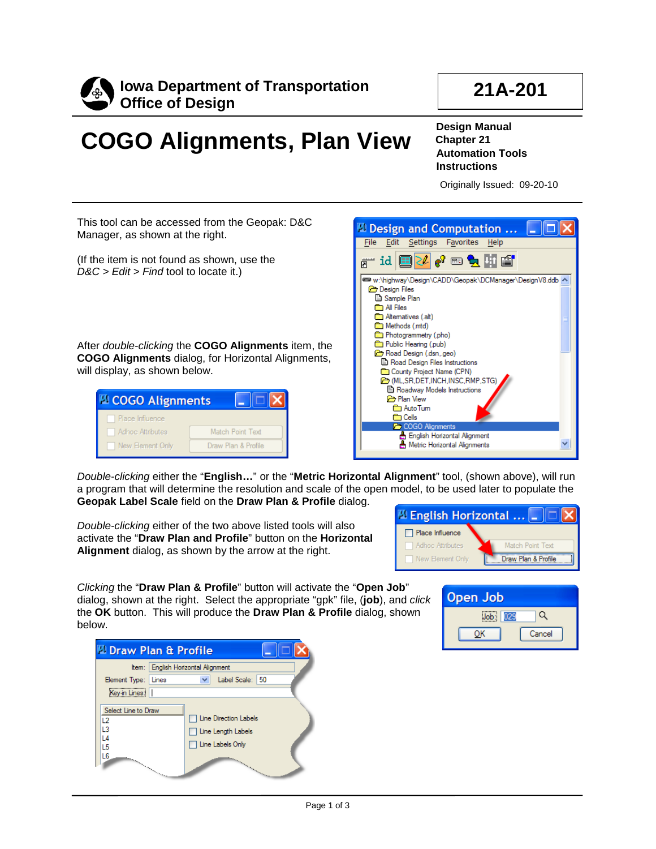



## **COGO Alignments, Plan View**

**Design Manual Chapter 21 Automation Tools Instructions**

Originally Issued: 09-20-10

This tool can be accessed from the Geopak: D&C Manager, as shown at the right.

(If the item is not found as shown, use the *D&C > Edit > Find* tool to locate it.)

After *double-clicking* the **COGO Alignments** item, the **COGO Alignments** dialog, for Horizontal Alignments, will display, as shown below.

| <b>D</b> COGO Alignments |                  |                     |
|--------------------------|------------------|---------------------|
| Place Influence          |                  |                     |
| Adhoc Attributes         | Match Point Text |                     |
| New Element Only         |                  | Draw Plan & Profile |



*Double-clicking* either the "**English…**" or the "**Metric Horizontal Alignment**" tool, (shown above), will run a program that will determine the resolution and scale of the open model, to be used later to populate the **Geopak Label Scale** field on the **Draw Plan & Profile** dialog.

*Double-clicking* either of the two above listed tools will also activate the "**Draw Plan and Profile**" button on the **Horizontal Alignment** dialog, as shown by the arrow at the right.



*Clicking* the "**Draw Plan & Profile**" button will activate the "**Open Job**" dialog, shown at the right. Select the appropriate "gpk" file, (**job**), and *click*  the **OK** button. This will produce the **Draw Plan & Profile** dialog, shown below.

|                                                   | <b>D</b> Draw Plan & Profile                                                                                                                                                                                                                                                                                       |  |
|---------------------------------------------------|--------------------------------------------------------------------------------------------------------------------------------------------------------------------------------------------------------------------------------------------------------------------------------------------------------------------|--|
|                                                   | Item:   English Horizontal Alignment                                                                                                                                                                                                                                                                               |  |
| Element Type: Lines                               | Label Scale: 50                                                                                                                                                                                                                                                                                                    |  |
| Key-in Lines:                                     |                                                                                                                                                                                                                                                                                                                    |  |
| Select Line to Draw<br>L2<br>13<br>-4<br>L5<br>L6 | <b>T</b> Line Direction Labels<br>□ Line Length Labels<br><b>The Labels Only</b><br>and the contract of the contract of the contract of the contract of the contract of the contract of the contract of the contract of the contract of the contract of the contract of the contract of the contract of the contra |  |

| Open Job |        |
|----------|--------|
|          |        |
|          | Cancel |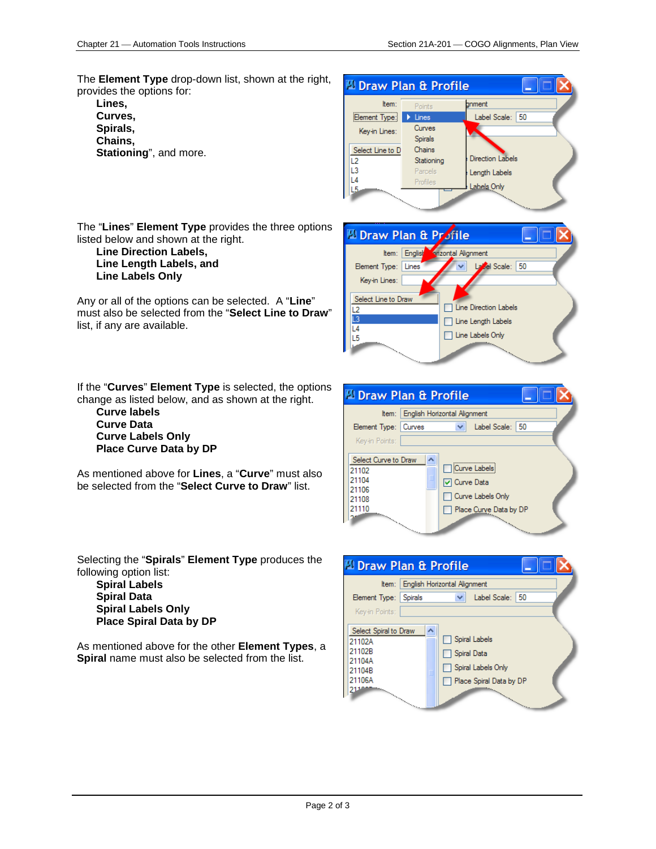The **Element Type** drop-down list, shown at the right, provides the options for:

**Lines, Curves, Spirals, Chains, Stationing**", and more. Draw Plan & Profile Item: bnment Element Type: > Lines Label Scale: 50 Curves Key-in Lines: **Spirals** Select Line to D Chains **Direction Labels** Stationing  $L2$ L3 Parcels Length Labels L4 Profiles Labels Only L5

zontal Alignment

| Line Direction Labels

| Line Length Labels

□ Line Labels Only

La Cel Scale: 50

D Draw Plan & Profile Item: English

Element Type: Lines

Key-in Lines: Select Line to Draw

 $\overline{L2}$ L3

 $L4$ 

L<sub>5</sub>

The "**Lines**" **Element Type** provides the three options listed below and shown at the right.

**Line Direction Labels, Line Length Labels, and Line Labels Only**

Any or all of the options can be selected. A "**Line**" must also be selected from the "**Select Line to Draw**" list, if any are available.

If the "**Curves**" **Element Type** is selected, the options change as listed below, and as shown at the right.

**Curve labels Curve Data Curve Labels Only Place Curve Data by DP**

As mentioned above for **Lines**, a "**Curve**" must also be selected from the "**Select Curve to Draw**" list.

Selecting the "**Spirals**" **Element Type** produces the following option list:

**Spiral Labels Spiral Data Spiral Labels Only Place Spiral Data by DP**

As mentioned above for the other **Element Types**, a **Spiral** name must also be selected from the list.



|                                                                                                     | <b>Draw Plan &amp; Profile</b>                                                                                                                                                                 |  |
|-----------------------------------------------------------------------------------------------------|------------------------------------------------------------------------------------------------------------------------------------------------------------------------------------------------|--|
|                                                                                                     | Item:   English Horizontal Alignment                                                                                                                                                           |  |
| Element Type: Spirals                                                                               | Label Scale: 50                                                                                                                                                                                |  |
| Kev-in Points:                                                                                      |                                                                                                                                                                                                |  |
| Select Spiral to Draw<br>21102A<br>21102B<br>21104A<br>21104B<br>21106A<br>$\overline{\phantom{0}}$ | Spiral Labels<br>Spiral Data<br>Spiral Labels Only<br>Place Spiral Data by DP<br>and a series of the content of the content of the content of the content of the content of the content of the |  |